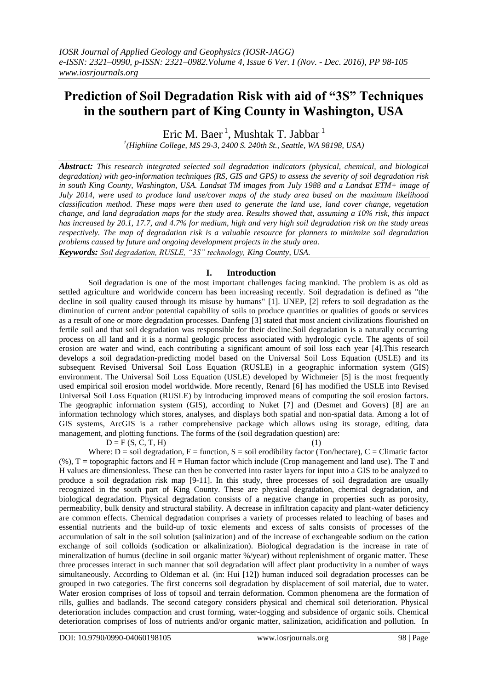# **Prediction of Soil Degradation Risk with aid of "3S" Techniques in the southern part of King County in Washington, USA**

Eric M. Baer<sup>1</sup>, Mushtak T. Jabbar<sup>1</sup>

*1 (Highline College, MS 29-3, 2400 S. 240th St., Seattle, WA 98198, USA)*

*Abstract: This research integrated selected soil degradation indicators (physical, chemical, and biological degradation) with geo-information techniques (RS, GIS and GPS) to assess the severity of soil degradation risk in south King County, Washington, USA. Landsat TM images from July 1988 and a Landsat ETM+ image of July 2014, were used to produce land use/cover maps of the study area based on the maximum likelihood classification method. These maps were then used to generate the land use, land cover change, vegetation change, and land degradation maps for the study area. Results showed that, assuming a 10% risk, this impact has increased by 20.1, 17.7, and 4.7% for medium, high and very high soil degradation risk on the study areas respectively. The map of degradation risk is a valuable resource for planners to minimize soil degradation problems caused by future and ongoing development projects in the study area. Keywords: Soil degradation, RUSLE, "3S" technology, King County, USA.*

## **I. Introduction**

Soil degradation is one of the most important challenges facing mankind. The problem is as old as settled agriculture and worldwide concern has been increasing recently. Soil degradation is defined as "the decline in soil quality caused through its misuse by humans" [1]. UNEP, [2] refers to soil degradation as the diminution of current and/or potential capability of soils to produce quantities or qualities of goods or services as a result of one or more degradation processes. Danfeng [3] stated that most ancient civilizations flourished on fertile soil and that soil degradation was responsible for their decline.Soil degradation is a naturally occurring process on all land and it is a normal geologic process associated with hydrologic cycle. The agents of soil erosion are water and wind, each contributing a significant amount of soil loss each year [4].This research develops a soil degradation-predicting model based on the Universal Soil Loss Equation (USLE) and its subsequent Revised Universal Soil Loss Equation (RUSLE) in a geographic information system (GIS) environment. The Universal Soil Loss Equation (USLE) developed by Wichmeier [5] is the most frequently used empirical soil erosion model worldwide. More recently, Renard [6] has modified the USLE into Revised Universal Soil Loss Equation (RUSLE) by introducing improved means of computing the soil erosion factors. The geographic information system (GIS), according to Nuket [7] and (Desmet and Govers) [8] are an information technology which stores, analyses, and displays both spatial and non-spatial data. Among a lot of GIS systems, ArcGIS is a rather comprehensive package which allows using its storage, editing, data management, and plotting functions. The forms of the (soil degradation question) are:

 $D = F(S, C, T, H)$  (1)

Where:  $D = \text{soil degradation}$ ,  $F = \text{function}$ ,  $S = \text{soil credibility factor (Ton/hectare)}$ ,  $C = \text{Climatic factor}$  $(\%)$ , T = topographic factors and H = Human factor which include (Crop management and land use). The T and H values are dimensionless. These can then be converted into raster layers for input into a GIS to be analyzed to produce a soil degradation risk map [9-11]. In this study, three processes of soil degradation are usually recognized in the south part of King County. These are physical degradation, chemical degradation, and biological degradation. Physical degradation consists of a negative change in properties such as porosity, permeability, bulk density and structural stability. A decrease in infiltration capacity and plant-water deficiency are common effects. Chemical degradation comprises a variety of processes related to leaching of bases and essential nutrients and the build-up of toxic elements and excess of salts consists of processes of the accumulation of salt in the soil solution (salinization) and of the increase of exchangeable sodium on the cation exchange of soil colloids (sodication or alkalinization). Biological degradation is the increase in rate of mineralization of humus (decline in soil organic matter %/year) without replenishment of organic matter. These three processes interact in such manner that soil degradation will affect plant productivity in a number of ways simultaneously. According to Oldeman et al*.* (in: Hui [12]) human induced soil degradation processes can be grouped in two categories. The first concerns soil degradation by displacement of soil material, due to water. Water erosion comprises of loss of topsoil and terrain deformation. Common phenomena are the formation of rills, gullies and badlands. The second category considers physical and chemical soil deterioration. Physical deterioration includes compaction and crust forming, water-logging and subsidence of organic soils. Chemical deterioration comprises of loss of nutrients and/or organic matter, salinization, acidification and pollution. In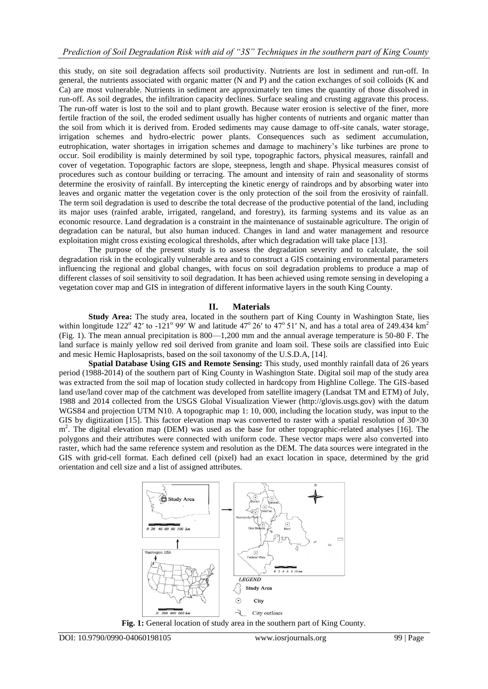this study, on site soil degradation affects soil productivity. Nutrients are lost in sediment and run-off. In general, the nutrients associated with organic matter (N and P) and the cation exchanges of soil colloids (K and Ca) are most vulnerable. Nutrients in sediment are approximately ten times the quantity of those dissolved in run-off. As soil degrades, the infiltration capacity declines. Surface sealing and crusting aggravate this process. The run-off water is lost to the soil and to plant growth. Because water erosion is selective of the finer, more fertile fraction of the soil, the eroded sediment usually has higher contents of nutrients and organic matter than the soil from which it is derived from. Eroded sediments may cause damage to off-site canals, water storage, irrigation schemes and hydro-electric power plants. Consequences such as sediment accumulation, eutrophication, water shortages in irrigation schemes and damage to machinery's like turbines are prone to occur. Soil erodibility is mainly determined by soil type, topographic factors, physical measures, rainfall and cover of vegetation. Topographic factors are slope, steepness, length and shape. Physical measures consist of procedures such as contour building or terracing. The amount and intensity of rain and seasonality of storms determine the erosivity of rainfall. By intercepting the kinetic energy of raindrops and by absorbing water into leaves and organic matter the vegetation cover is the only protection of the soil from the erosivity of rainfall. The term soil degradation is used to describe the total decrease of the productive potential of the land, including its major uses (rainfed arable, irrigated, rangeland, and forestry), its farming systems and its value as an economic resource. Land degradation is a constraint in the maintenance of sustainable agriculture. The origin of degradation can be natural, but also human induced. Changes in land and water management and resource exploitation might cross existing ecological thresholds, after which degradation will take place [13].

The purpose of the present study is to assess the degradation severity and to calculate, the soil degradation risk in the ecologically vulnerable area and to construct a GIS containing environmental parameters influencing the regional and global changes, with focus on soil degradation problems to produce a map of different classes of soil sensitivity to soil degradation. It has been achieved using remote sensing in developing a vegetation cover map and GIS in integration of different informative layers in the south King County.

## **II. Materials**

**Study Area:** The study area, located in the southern part of King County in Washington State, lies within longitude 122° 42' to -121° 99' W and latitude 47° 26' to 47° 51' N, and has a total area of 249.434 km<sup>2</sup> (Fig. 1). The mean annual precipitation is 800—1,200 mm and the annual average temperature is 50-80 F. The land surface is mainly yellow red soil derived from granite and loam soil. These soils are classified into Euic and mesic Hemic Haplosaprists, based on the soil taxonomy of the U.S.D.A, [14].

**Spatial Database Using GIS and Remote Sensing:** This study, used monthly rainfall data of 26 years period (1988-2014) of the southern part of King County in Washington State. Digital soil map of the study area was extracted from the soil map of location study collected in hardcopy from Highline College. The GIS-based land use/land cover map of the catchment was developed from satellite imagery (Landsat TM and ETM) of July, 1988 and 2014 collected from the USGS Global Visualization Viewer [\(http://glovis.usgs.gov\)](http://glovis.usgs.gov/) with the datum WGS84 and projection UTM N10. A topographic map 1: 10, 000, including the location study, was input to the GIS by digitization [15]. This factor elevation map was converted to raster with a spatial resolution of  $30\times30$ m<sup>2</sup>. The digital elevation map (DEM) was used as the base for other topographic-related analyses [16]. The polygons and their attributes were connected with uniform code. These vector maps were also converted into raster, which had the same reference system and resolution as the DEM. The data sources were integrated in the GIS with grid-cell format. Each defined cell (pixel) had an exact location in space, determined by the grid orientation and cell size and a list of assigned attributes.



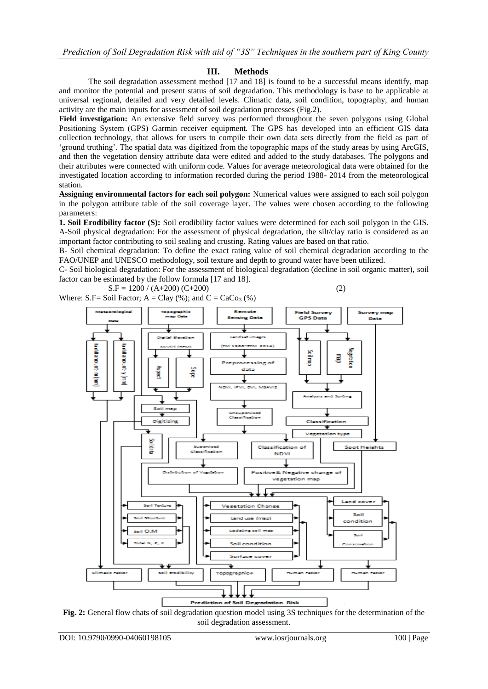## **III. Methods**

The soil degradation assessment method [17 and 18] is found to be a successful means identify, map and monitor the potential and present status of soil degradation. This methodology is base to be applicable at universal regional, detailed and very detailed levels. Climatic data, soil condition, topography, and human activity are the main inputs for assessment of soil degradation processes (Fig.2).

**Field investigation:** An extensive field survey was performed throughout the seven polygons using Global Positioning System (GPS) Garmin receiver equipment. The GPS has developed into an efficient GIS data collection technology, that allows for users to compile their own data sets directly from the field as part of 'ground truthing'. The spatial data was digitized from the topographic maps of the study areas by using ArcGIS, and then the vegetation density attribute data were edited and added to the study databases. The polygons and their attributes were connected with uniform code. Values for average meteorological data were obtained for the investigated location according to information recorded during the period 1988- 2014 from the meteorological station.

**Assigning environmental factors for each soil polygon:** Numerical values were assigned to each soil polygon in the polygon attribute table of the soil coverage layer. The values were chosen according to the following parameters:

**1. Soil Erodibility factor (S):** Soil erodibility factor values were determined for each soil polygon in the GIS. A-Soil physical degradation: For the assessment of physical degradation, the silt/clay ratio is considered as an important factor contributing to soil sealing and crusting. Rating values are based on that ratio.

B- Soil chemical degradation: To define the exact rating value of soil chemical degradation according to the FAO/UNEP and UNESCO methodology, soil texture and depth to ground water have been utilized.

C- Soil biological degradation: For the assessment of biological degradation (decline in soil organic matter), soil factor can be estimated by the follow formula [17 and 18].

 $S.F = 1200 / (A+200) (C+200)$  (2) Where: S.F= Soil Factor;  $A = Clay$  (%); and  $C = CaCo<sub>3</sub>$  (%)

Remoti **Field Survey** Survey n insing Data **GPS Data Darks** 2014 ká dál a mount-y (mm) un mana ilay k danies **GBETHOL** Ē Prep ocessing of data 불 հա[ապ] R NOVIL **C. DVI., MSAVIO** Analysis and Sorting ┪ So map 76 classificati Dicitizing Classification ۰ n typ **TED ICK** Spot Heights *<u>Representation</u>* Classification **Channel County NDVI** e& Negative change of Distribution жđ. Positiv vegetation map Land cover **Vecetation Chance** Soil **Council Control** ndition  $\bullet$ Soil conditio Surface cove C15 **Prediction of Soil Degredation Risk** 

**Fig. 2:** General flow chats of soil degradation question model using 3S techniques for the determination of the soil degradation assessment.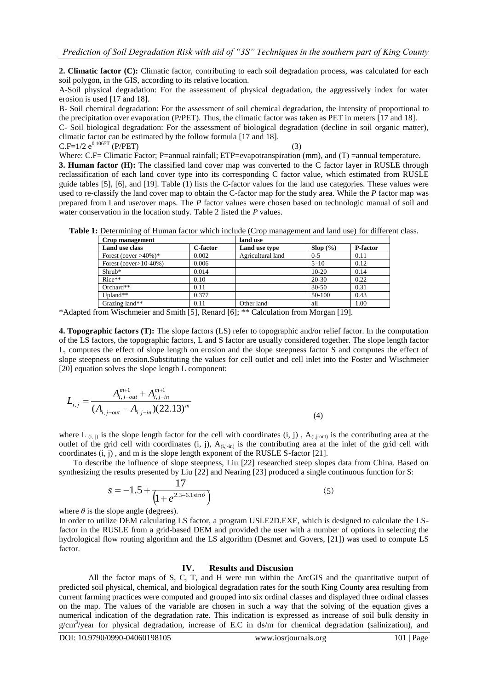**2. Climatic factor (C):** Climatic factor, contributing to each soil degradation process, was calculated for each soil polygon, in the GIS, according to its relative location.

A-Soil physical degradation: For the assessment of physical degradation, the aggressively index for water erosion is used [17 and 18].

B- Soil chemical degradation: For the assessment of soil chemical degradation, the intensity of proportional to the precipitation over evaporation (P/PET). Thus, the climatic factor was taken as PET in meters [17 and 18].

C- Soil biological degradation: For the assessment of biological degradation (decline in soil organic matter), climatic factor can be estimated by the follow formula [17 and 18].

 $C.F=1/2 e^{0.1065T} (P/PET)$  (3)

Where: C.F= Climatic Factor; P=annual rainfall; ETP=evapotranspiration (mm), and (T) =annual temperature.

**3. Human factor (H):** The classified land cover map was converted to the C factor layer in RUSLE through reclassification of each land cover type into its corresponding C factor value, which estimated from RUSLE guide tables [5], [6], and [19]. Table (1) lists the C-factor values for the land use categories. These values were used to re-classify the land cover map to obtain the C-factor map for the study area. While the *P* factor map was prepared from Land use/over maps. The *P* factor values were chosen based on technologic manual of soil and water conservation in the location study. Table 2 listed the *P* values.

|  |  |  | Table 1: Determining of Human factor which include (Crop management and land use) for different class. |  |  |  |
|--|--|--|--------------------------------------------------------------------------------------------------------|--|--|--|
|  |  |  |                                                                                                        |  |  |  |

| Crop management            | land use |                   |           |                 |  |
|----------------------------|----------|-------------------|-----------|-----------------|--|
| Land use class             | C-factor | Land use type     | Slop(%    | <b>P-factor</b> |  |
| Forest (cover $>40\%$ )*   | 0.002    | Agricultural land | $0 - 5$   | 0.11            |  |
| Forest (cover $>10-40\%$ ) | 0.006    |                   | $5 - 10$  | 0.12            |  |
| $Shrub*$                   | 0.014    |                   | $10-20$   | 0.14            |  |
| $Rice**$                   | 0.10     |                   | 20-30     | 0.22            |  |
| $Orchard**$                | 0.11     |                   | $30 - 50$ | 0.31            |  |
| Upland**                   | 0.377    |                   | 50-100    | 0.43            |  |
| Grazing land**             | 0.11     | Other land        | all       | 1.00            |  |

\*Adapted from Wischmeier and Smith [5], Renard [6]; \*\* Calculation from Morgan [19].

**4. Topographic factors (T):** The slope factors (LS) refer to topographic and/or relief factor. In the computation of the LS factors, the topographic factors, L and S factor are usually considered together. The slope length factor L, computes the effect of slope length on erosion and the slope steepness factor S and computes the effect of slope steepness on erosion.Substituting the values for cell outlet and cell inlet into the Foster and Wischmeier [20] equation solves the slope length L component:

$$
L_{i,j} = \frac{A_{i,j-out}^{m+1} + A_{i,j-in}^{m+1}}{(A_{i,j-out} - A_{i,j-in})(22.13)^m}
$$
\n(4)

where L<sub>(i, j)</sub> is the slope length factor for the cell with coordinates (i, j),  $A_{(i,j-out)}$  is the contributing area at the outlet of the grid cell with coordinates (i, j),  $A_{(i,j\text{-}in)}$  is the contributing area at the inlet of the grid cell with coordinates (i, j) , and m is the slope length exponent of the RUSLE S-factor [21].

 To describe the influence of slope steepness, Liu [22] researched steep slopes data from China. Based on synthesizing the results presented by Liu [22] and Nearing [23] produced a single continuous function for S:

$$
s = -1.5 + \frac{17}{\left(1 + e^{2.3 - 6.1 \sin \theta}\right)}
$$
(5)

where  $\theta$  is the slope angle (degrees).

In order to utilize DEM calculating LS factor, a program USLE2D.EXE, which is designed to calculate the LSfactor in the RUSLE from a grid-based DEM and provided the user with a number of options in selecting the hydrological flow routing algorithm and the LS algorithm (Desmet and Govers, [21]) was used to compute LS factor.

## **IV. Results and Discusion**

All the factor maps of S, C, T, and H were run within the ArcGIS and the quantitative output of predicted soil physical, chemical, and biological degradation rates for the south King County area resulting from current farming practices were computed and grouped into six ordinal classes and displayed three ordinal classes on the map. The values of the variable are chosen in such a way that the solving of the equation gives a numerical indication of the degradation rate. This indication is expressed as increase of soil bulk density in g/cm<sup>3</sup>/year for physical degradation, increase of E.C in ds/m for chemical degradation (salinization), and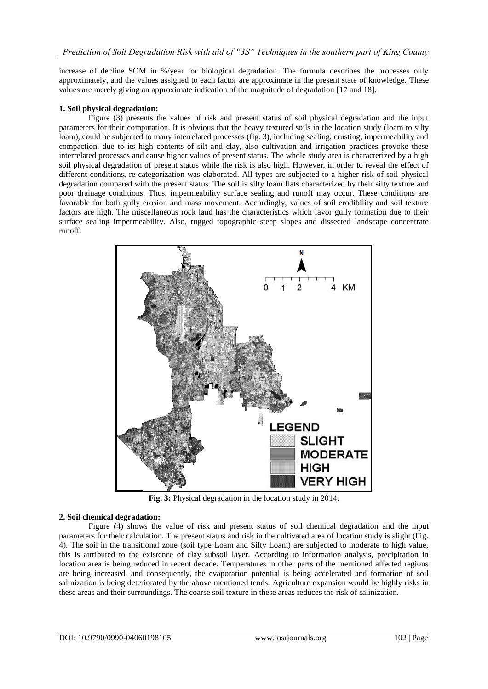increase of decline SOM in %/year for biological degradation. The formula describes the processes only approximately, and the values assigned to each factor are approximate in the present state of knowledge. These values are merely giving an approximate indication of the magnitude of degradation [17 and 18].

#### **1. Soil physical degradation:**

Figure (3) presents the values of risk and present status of soil physical degradation and the input parameters for their computation. It is obvious that the heavy textured soils in the location study (loam to silty loam), could be subjected to many interrelated processes (fig. 3), including sealing, crusting, impermeability and compaction, due to its high contents of silt and clay, also cultivation and irrigation practices provoke these interrelated processes and cause higher values of present status. The whole study area is characterized by a high soil physical degradation of present status while the risk is also high. However, in order to reveal the effect of different conditions, re-categorization was elaborated. All types are subjected to a higher risk of soil physical degradation compared with the present status. The soil is silty loam flats characterized by their silty texture and poor drainage conditions. Thus, impermeability surface sealing and runoff may occur. These conditions are favorable for both gully erosion and mass movement. Accordingly, values of soil erodibility and soil texture factors are high. The miscellaneous rock land has the characteristics which favor gully formation due to their surface sealing impermeability. Also, rugged topographic steep slopes and dissected landscape concentrate runoff.



**Fig. 3:** Physical degradation in the location study in 2014.

#### **2. Soil chemical degradation:**

Figure (4) shows the value of risk and present status of soil chemical degradation and the input parameters for their calculation. The present status and risk in the cultivated area of location study is slight (Fig. 4). The soil in the transitional zone (soil type Loam and Silty Loam) are subjected to moderate to high value, this is attributed to the existence of clay subsoil layer. According to information analysis, precipitation in location area is being reduced in recent decade. Temperatures in other parts of the mentioned affected regions are being increased, and consequently, the evaporation potential is being accelerated and formation of soil salinization is being deteriorated by the above mentioned tends. Agriculture expansion would be highly risks in these areas and their surroundings. The coarse soil texture in these areas reduces the risk of salinization.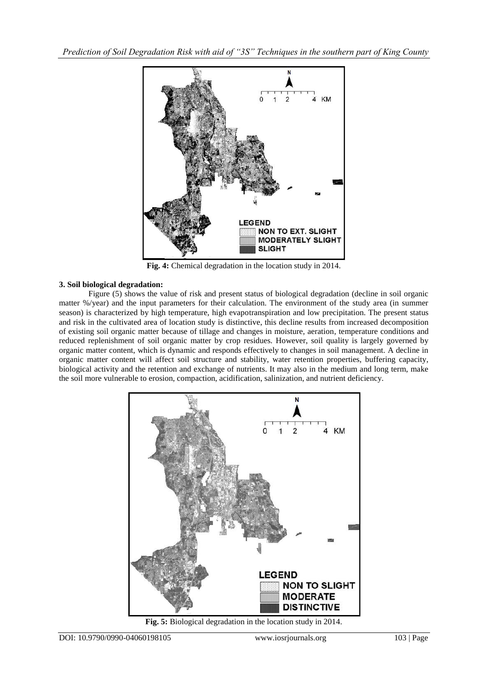

**Fig. 4:** Chemical degradation in the location study in 2014.

## **3. Soil biological degradation:**

Figure (5) shows the value of risk and present status of biological degradation (decline in soil organic matter %/year) and the input parameters for their calculation. The environment of the study area (in summer season) is characterized by high temperature, high evapotranspiration and low precipitation. The present status and risk in the cultivated area of location study is distinctive, this decline results from increased decomposition of existing soil organic matter because of tillage and changes in moisture, aeration, temperature conditions and reduced replenishment of soil organic matter by crop residues. However, soil quality is largely governed by organic matter content, which is dynamic and responds effectively to changes in soil management. A decline in organic matter content will affect soil structure and stability, water retention properties, buffering capacity, biological activity and the retention and exchange of nutrients. It may also in the medium and long term, make the soil more vulnerable to erosion, compaction, acidification, salinization, and nutrient deficiency.



**Fig. 5:** Biological degradation in the location study in 2014.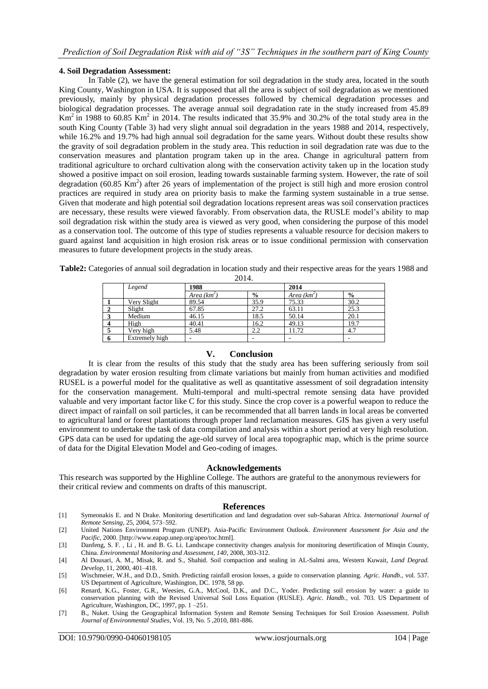#### **4. Soil Degradation Assessment:**

In Table (2), we have the general estimation for soil degradation in the study area, located in the south King County, Washington in USA. It is supposed that all the area is subject of soil degradation as we mentioned previously, mainly by physical degradation processes followed by chemical degradation processes and biological degradation processes. The average annual soil degradation rate in the study increased from 45.89 Km<sup>2</sup> in 1988 to 60.85 Km<sup>2</sup> in 2014. The results indicated that 35.9% and 30.2% of the total study area in the south King County (Table 3) had very slight annual soil degradation in the years 1988 and 2014, respectively, while 16.2% and 19.7% had high annual soil degradation for the same years. Without doubt these results show the gravity of soil degradation problem in the study area. This reduction in soil degradation rate was due to the conservation measures and plantation program taken up in the area. Change in agricultural pattern from traditional agriculture to orchard cultivation along with the conservation activity taken up in the location study showed a positive impact on soil erosion, leading towards sustainable farming system. However, the rate of soil degradation (60.85 Km<sup>2</sup>) after 26 years of implementation of the project is still high and more erosion control practices are required in study area on priority basis to make the farming system sustainable in a true sense. Given that moderate and high potential soil degradation locations represent areas was soil conservation practices are necessary, these results were viewed favorably. From observation data, the RUSLE model's ability to map soil degradation risk within the study area is viewed as very good, when considering the purpose of this model as a conservation tool. The outcome of this type of studies represents a valuable resource for decision makers to guard against land acquisition in high erosion risk areas or to issue conditional permission with conservation measures to future development projects in the study areas.

**Table2:** Categories of annual soil degradation in location study and their respective areas for the years 1988 and

2014.

|              | Legend         | 1988          |               | 2014          |               |  |
|--------------|----------------|---------------|---------------|---------------|---------------|--|
|              |                | Area $(km^2)$ | $\frac{6}{6}$ | Area $(km^2)$ | $\frac{6}{6}$ |  |
|              | Very Slight    | 89.54         | 35.9          | 75.33         | 30.2          |  |
|              | Slight         | 67.85         | 27.2          | 63.11         | 25.3          |  |
|              | Medium         | 46.15         | 18.5          | 50.14         | 20.1          |  |
|              | High           | 40.41         | 16.2          | 49.13         | 19.7          |  |
| $\mathbf{E}$ | Very high      | 5.48          | 2.2           | 11.72         | 4.7           |  |
| n.           | Extremely high | -             |               |               | -             |  |

## **V. Conclusion**

It is clear from the results of this study that the study area has been suffering seriously from soil degradation by water erosion resulting from climate variations but mainly from human activities and modified RUSEL is a powerful model for the qualitative as well as quantitative assessment of soil degradation intensity for the conservation management. Multi-temporal and multi-spectral remote sensing data have provided valuable and very important factor like C for this study. Since the crop cover is a powerful weapon to reduce the direct impact of rainfall on soil particles, it can be recommended that all barren lands in local areas be converted to agricultural land or forest plantations through proper land reclamation measures. GIS has given a very useful environment to undertake the task of data compilation and analysis within a short period at very high resolution. GPS data can be used for updating the age-old survey of local area topographic map, which is the prime source of data for the Digital Elevation Model and Geo-coding of images.

#### **Acknowledgements**

This research was supported by the Highline College. The authors are grateful to the anonymous reviewers for their critical review and comments on drafts of this manuscript.

#### **References**

- [1] Symeonakis E. and N Drake. Monitoring desertification and land degradation over sub-Saharan Africa. *International Journal of Remote Sensing*, 25, 2004, 573–592.
- [2] United Nations Environment Program (UNEP). Asia-Pacific Environment Outlook. *Environment Assessment for Asia and the Pacific,* 2000. [\[http://www.eapap.unep.org/apeo/toc.html\]](http://www.eapap.unep.org/apeo/toc.html).
- [3] Danfeng, S. F., Li, H. and B. G. Li. Landscape connectivity changes analysis for monitoring desertification of Minqin County, China. *Environmental Monitoring and Assessment, 140*, 2008, 303-312.
- [4] Al Dousari, A. M., Misak, R. and S., Shahid. Soil compaction and sealing in AL-Salmi area, Western Kuwait, *Land Degrad. Develop,* 11, 2000, 401–418.
- [5] Wischmeier, W.H., and D.D., Smith. Predicting rainfall erosion losses, a guide to conservation planning. *Agric. Handb.,* vol. 537. US Department of Agriculture, Washington, DC. 1978, 58 pp.
- [6] Renard, K.G., Foster, G.R., Weesies, G.A., McCool, D.K., and D.C., Yoder. Predicting soil erosion by water: a guide to conservation planning with the Revised Universal Soil Loss Equation (RUSLE). *Agric. Handb.,* vol. 703. US Department of Agriculture, Washington, DC, 1997, pp. 1 –251.
- [7] B., Nuket. Using the Geographical Information System and Remote Sensing Techniques for Soil Erosion Assessment. *Polish Journal of Environmental Studies*, Vol. 19, No. 5 ,2010, 881-886.